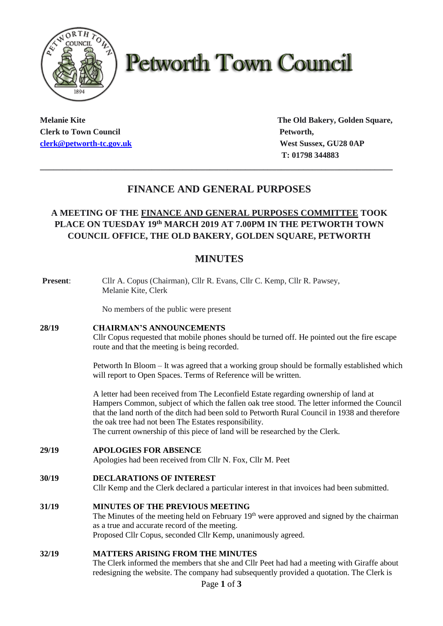

# **Petworth Town Council**

**Clerk to Town Council Petworth, Petworth, clerk@petworth-tc.gov.uk** *West Sussex, GU28 0AP* 

**Melanie Kite The Old Bakery, Golden Square, T: 01798 344883**

## **FINANCE AND GENERAL PURPOSES**

**\_\_\_\_\_\_\_\_\_\_\_\_\_\_\_\_\_\_\_\_\_\_\_\_\_\_\_\_\_\_\_\_\_\_\_\_\_\_\_\_\_\_\_\_\_\_\_\_\_\_\_\_\_\_\_\_\_\_\_\_\_\_\_\_\_\_\_\_\_\_\_\_\_\_\_\_\_\_\_**

## **A MEETING OF THE FINANCE AND GENERAL PURPOSES COMMITTEE TOOK PLACE ON TUESDAY 19 th MARCH 2019 AT 7.00PM IN THE PETWORTH TOWN COUNCIL OFFICE, THE OLD BAKERY, GOLDEN SQUARE, PETWORTH**

## **MINUTES**

| Present: | Cllr A. Copus (Chairman), Cllr R. Evans, Cllr C. Kemp, Cllr R. Pawsey,<br>Melanie Kite, Clerk                                                                                                                                                                                                                                                                                                                                  |
|----------|--------------------------------------------------------------------------------------------------------------------------------------------------------------------------------------------------------------------------------------------------------------------------------------------------------------------------------------------------------------------------------------------------------------------------------|
|          | No members of the public were present                                                                                                                                                                                                                                                                                                                                                                                          |
| 28/19    | <b>CHAIRMAN'S ANNOUNCEMENTS</b><br>Cllr Copus requested that mobile phones should be turned off. He pointed out the fire escape<br>route and that the meeting is being recorded.                                                                                                                                                                                                                                               |
|          | Petworth In Bloom – It was agreed that a working group should be formally established which<br>will report to Open Spaces. Terms of Reference will be written.                                                                                                                                                                                                                                                                 |
|          | A letter had been received from The Leconfield Estate regarding ownership of land at<br>Hampers Common, subject of which the fallen oak tree stood. The letter informed the Council<br>that the land north of the ditch had been sold to Petworth Rural Council in 1938 and therefore<br>the oak tree had not been The Estates responsibility.<br>The current ownership of this piece of land will be researched by the Clerk. |
| 29/19    | <b>APOLOGIES FOR ABSENCE</b><br>Apologies had been received from Cllr N. Fox, Cllr M. Peet                                                                                                                                                                                                                                                                                                                                     |
| 30/19    | <b>DECLARATIONS OF INTEREST</b><br>Cllr Kemp and the Clerk declared a particular interest in that invoices had been submitted.                                                                                                                                                                                                                                                                                                 |
| 31/19    | MINUTES OF THE PREVIOUS MEETING<br>The Minutes of the meeting held on February 19 <sup>th</sup> were approved and signed by the chairman<br>as a true and accurate record of the meeting.<br>Proposed Cllr Copus, seconded Cllr Kemp, unanimously agreed.                                                                                                                                                                      |
| 32/19    | <b>MATTERS ARISING FROM THE MINUTES</b><br>The Clerk informed the members that she and Cllr Peet had had a meeting with Giraffe about<br>redesigning the website. The company had subsequently provided a quotation. The Clerk is<br>Page 1 of 3                                                                                                                                                                               |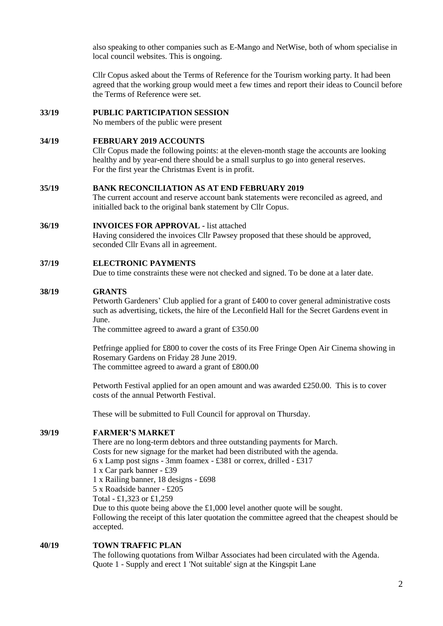also speaking to other companies such as E-Mango and NetWise, both of whom specialise in local council websites. This is ongoing.

Cllr Copus asked about the Terms of Reference for the Tourism working party. It had been agreed that the working group would meet a few times and report their ideas to Council before the Terms of Reference were set.

#### **33/19 PUBLIC PARTICIPATION SESSION**

No members of the public were present

#### **34/19 FEBRUARY 2019 ACCOUNTS**

Cllr Copus made the following points: at the eleven-month stage the accounts are looking healthy and by year-end there should be a small surplus to go into general reserves. For the first year the Christmas Event is in profit.

#### **35/19 BANK RECONCILIATION AS AT END FEBRUARY 2019**

The current account and reserve account bank statements were reconciled as agreed, and initialled back to the original bank statement by Cllr Copus.

#### **36/19 INVOICES FOR APPROVAL -** list attached

Having considered the invoices Cllr Pawsey proposed that these should be approved, seconded Cllr Evans all in agreement.

#### **37/19 ELECTRONIC PAYMENTS**

Due to time constraints these were not checked and signed. To be done at a later date.

#### **38/19 GRANTS**

Petworth Gardeners' Club applied for a grant of £400 to cover general administrative costs such as advertising, tickets, the hire of the Leconfield Hall for the Secret Gardens event in June.

The committee agreed to award a grant of £350.00

Petfringe applied for £800 to cover the costs of its Free Fringe Open Air Cinema showing in Rosemary Gardens on Friday 28 June 2019. The committee agreed to award a grant of £800.00

Petworth Festival applied for an open amount and was awarded £250.00. This is to cover costs of the annual Petworth Festival.

These will be submitted to Full Council for approval on Thursday.

#### **39/19 FARMER'S MARKET**

There are no long-term debtors and three outstanding payments for March. Costs for new signage for the market had been distributed with the agenda. 6 x Lamp post signs - 3mm foamex - £381 or correx, drilled - £317 1 x Car park banner - £39 1 x Railing banner, 18 designs - £698 5 x Roadside banner - £205 Total - £1,323 or £1,259 Due to this quote being above the £1,000 level another quote will be sought.

Following the receipt of this later quotation the committee agreed that the cheapest should be accepted.

### **40/19 TOWN TRAFFIC PLAN**

The following quotations from Wilbar Associates had been circulated with the Agenda. Quote 1 - Supply and erect 1 'Not suitable' sign at the Kingspit Lane